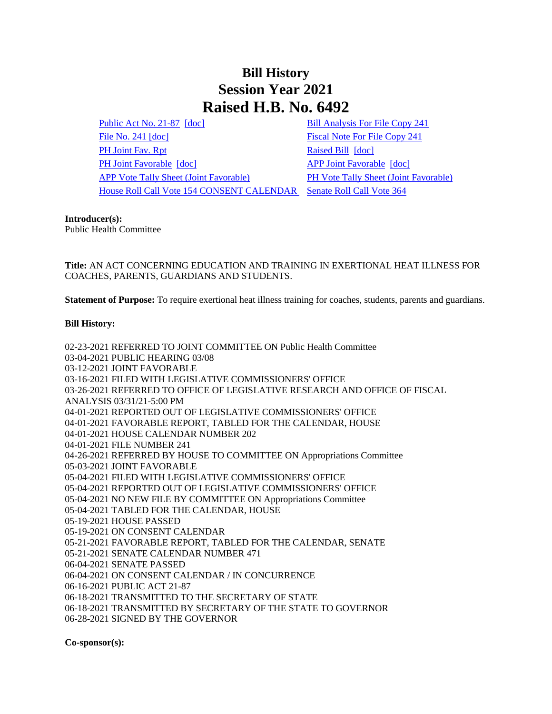## **Bill History Session Year 2021 Raised H.B. No. 6492**

[Public Act No. 21-87](/2021/ACT/PA/PDF/2021PA-00087-R00HB-06492-PA.PDF) [\[doc\]](https://search.cga.state.ct.us/dl2021/PA/DOC/2021PA-00087-R00HB-06492-PA.DOCX) [Bill Analysis For File Copy 241](/2021/BA/PDF/2021HB-06492-R000241-BA.PDF) [File No. 241](/2021/FC/PDF/2021HB-06492-R000241-FC.PDF) [\[doc\]](/2021/FC/PDF/2021HB-06492-R000241-FC.PDF) [Fiscal Note For File Copy 241](/2021/FN/PDF/2021HB-06492-R000241-FN.PDF) [PH Joint Fav. Rpt](/2021/JFR/H/PDF/2021HB-06492-R00PH-JFR.PDF) [Raised Bill](/2021/TOB/H/PDF/2021HB-06492-R00-HB.PDF) [\[doc\]](https://search.cga.state.ct.us/dl2021/TOB/DOC/2021HB-06492-R00-HB.DOCX) [PH Joint Favorable](/2021/TOB/H/PDF/2021HB-06492-R01-HB.PDF) [\[doc\]](https://search.cga.state.ct.us/dl2021/TOB/DOC/2021HB-06492-R02-HB.DOCX) [APP Joint Favorable](/2021/TOB/H/PDF/2021HB-06492-R02-HB.PDF) [doc] [APP Vote Tally Sheet \(Joint Favorable\)](/2021/TS/H/PDF/2021HB-06492-R00APP-CV92-TS.PDF) [PH Vote Tally Sheet \(Joint Favorable\)](/2021/TS/H/PDF/2021HB-06492-R00PH-CV77-TS.PDF) [House Roll Call Vote 154 CONSENT CALENDAR](/2021/VOTE/H/PDF/2021HV-00154-R00HB06492-HV.PDF) [Senate Roll Call Vote 364](/2021/VOTE/S/PDF/2021SV-00364-R00HB06492-SV.PDF) 

## **Introducer(s):**

Public Health Committee

**Title:** AN ACT CONCERNING EDUCATION AND TRAINING IN EXERTIONAL HEAT ILLNESS FOR COACHES, PARENTS, GUARDIANS AND STUDENTS.

**Statement of Purpose:** To require exertional heat illness training for coaches, students, parents and guardians.

## **Bill History:**

02-23-2021 REFERRED TO JOINT COMMITTEE ON Public Health Committee 03-04-2021 PUBLIC HEARING 03/08 03-12-2021 JOINT FAVORABLE 03-16-2021 FILED WITH LEGISLATIVE COMMISSIONERS' OFFICE 03-26-2021 REFERRED TO OFFICE OF LEGISLATIVE RESEARCH AND OFFICE OF FISCAL ANALYSIS 03/31/21-5:00 PM 04-01-2021 REPORTED OUT OF LEGISLATIVE COMMISSIONERS' OFFICE 04-01-2021 FAVORABLE REPORT, TABLED FOR THE CALENDAR, HOUSE 04-01-2021 HOUSE CALENDAR NUMBER 202 04-01-2021 FILE NUMBER 241 04-26-2021 REFERRED BY HOUSE TO COMMITTEE ON Appropriations Committee 05-03-2021 JOINT FAVORABLE 05-04-2021 FILED WITH LEGISLATIVE COMMISSIONERS' OFFICE 05-04-2021 REPORTED OUT OF LEGISLATIVE COMMISSIONERS' OFFICE 05-04-2021 NO NEW FILE BY COMMITTEE ON Appropriations Committee 05-04-2021 TABLED FOR THE CALENDAR, HOUSE 05-19-2021 HOUSE PASSED 05-19-2021 ON CONSENT CALENDAR 05-21-2021 FAVORABLE REPORT, TABLED FOR THE CALENDAR, SENATE 05-21-2021 SENATE CALENDAR NUMBER 471 06-04-2021 SENATE PASSED 06-04-2021 ON CONSENT CALENDAR / IN CONCURRENCE 06-16-2021 PUBLIC ACT 21-87 06-18-2021 TRANSMITTED TO THE SECRETARY OF STATE 06-18-2021 TRANSMITTED BY SECRETARY OF THE STATE TO GOVERNOR 06-28-2021 SIGNED BY THE GOVERNOR

**Co-sponsor(s):**